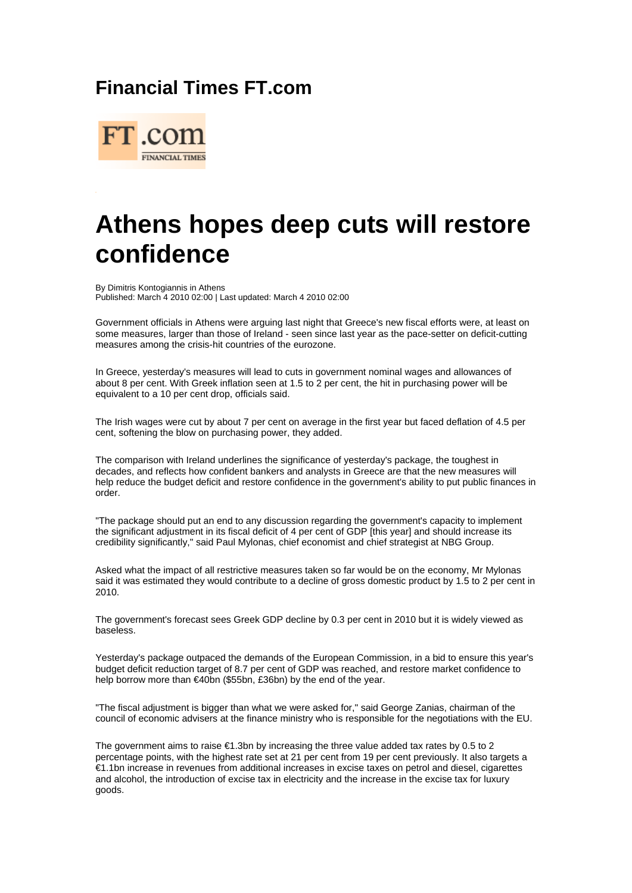## **Financial Times FT.com**



## **Athens hopes deep cuts will restore confidence**

By Dimitris Kontogiannis in Athens Published: March 4 2010 02:00 | Last updated: March 4 2010 02:00

Government officials in Athens were arguing last night that Greece's new fiscal efforts were, at least on some measures, larger than those of Ireland - seen since last year as the pace-setter on deficit-cutting measures among the crisis-hit countries of the eurozone.

In Greece, yesterday's measures will lead to cuts in government nominal wages and allowances of about 8 per cent. With Greek inflation seen at 1.5 to 2 per cent, the hit in purchasing power will be equivalent to a 10 per cent drop, officials said.

The Irish wages were cut by about 7 per cent on average in the first year but faced deflation of 4.5 per cent, softening the blow on purchasing power, they added.

The comparison with Ireland underlines the significance of yesterday's package, the toughest in decades, and reflects how confident bankers and analysts in Greece are that the new measures will help reduce the budget deficit and restore confidence in the government's ability to put public finances in order.

"The package should put an end to any discussion regarding the government's capacity to implement the significant adjustment in its fiscal deficit of 4 per cent of GDP [this year] and should increase its credibility significantly," said Paul Mylonas, chief economist and chief strategist at NBG Group.

Asked what the impact of all restrictive measures taken so far would be on the economy, Mr Mylonas said it was estimated they would contribute to a decline of gross domestic product by 1.5 to 2 per cent in 2010.

The government's forecast sees Greek GDP decline by 0.3 per cent in 2010 but it is widely viewed as baseless.

Yesterday's package outpaced the demands of the European Commission, in a bid to ensure this year's budget deficit reduction target of 8.7 per cent of GDP was reached, and restore market confidence to help borrow more than €40bn (\$55bn, £36bn) by the end of the year.

"The fiscal adjustment is bigger than what we were asked for," said George Zanias, chairman of the council of economic advisers at the finance ministry who is responsible for the negotiations with the EU.

The government aims to raise  $\epsilon$ 1.3bn by increasing the three value added tax rates by 0.5 to 2 percentage points, with the highest rate set at 21 per cent from 19 per cent previously. It also targets a €1.1bn increase in revenues from additional increases in excise taxes on petrol and diesel, cigarettes and alcohol, the introduction of excise tax in electricity and the increase in the excise tax for luxury goods.